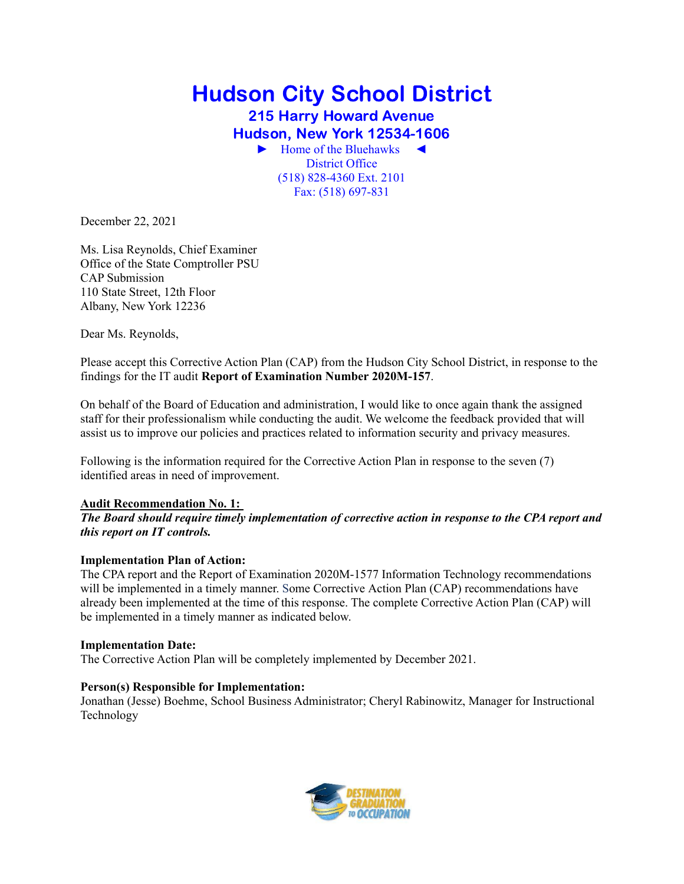# Hudson City School District 215 Harry Howard Avenue Hudson, New York 12534-1606 ► Home of the Bluehawks ◄ (518) 828-4360 Ext. 2101 District Office

Fax: (518) 697-831

December 22, 2021

 Ms. Lisa Reynolds, Chief Examiner Office of the State Comptroller PSU 110 State Street, 12th Floor Albany, New York 12236 CAP Submission

Dear Ms. Reynolds,

 Please accept this Corrective Action Plan (CAP) from the Hudson City School District, in response to the findings for the IT audit **Report of Examination Number 2020M-157**.

 On behalf of the Board of Education and administration, I would like to once again thank the assigned staff for their professionalism while conducting the audit. We welcome the feedback provided that will assist us to improve our policies and practices related to information security and privacy measures.

 Following is the information required for the Corrective Action Plan in response to the seven (7) identified areas in need of improvement.

# **Audit Recommendation No. 1:**

# *The Board should require timely implementation of corrective action in response to the CPA report and this report on IT controls.*

# **Implementation Plan of Action:**

 The CPA report and the Report of Examination 2020M-1577 Information Technology recommendations will be implemented in a timely manner. Some Corrective Action Plan (CAP) recommendations have already been implemented at the time of this response. The complete Corrective Action Plan (CAP) will be implemented in a timely manner as indicated below.

# **Implementation Date:**

The Corrective Action Plan will be completely implemented by December 2021.

# **Person(s) Responsible for Implementation:**

 Jonathan (Jesse) Boehme, School Business Administrator; Cheryl Rabinowitz, Manager for Instructional Technology

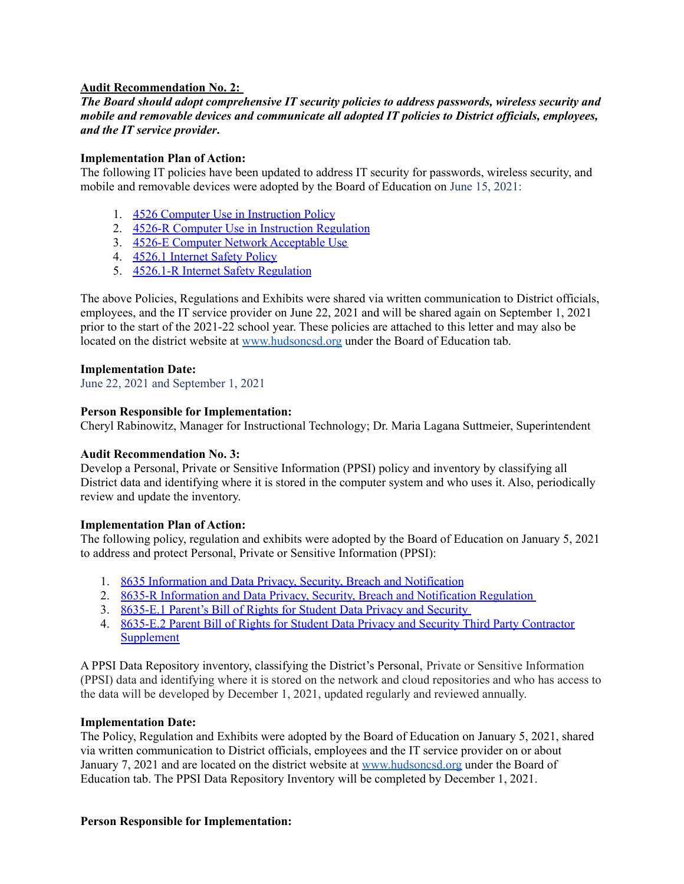# **Audit Recommendation No. 2:**

# *The Board should adopt comprehensive IT security policies to address passwords, wireless security and mobile and removable devices and communicate all adopted IT policies to District officials, employees, and the IT service provider***.**

# **Implementation Plan of Action:**

 The following IT policies have been updated to address IT security for passwords, wireless security, and mobile and removable devices were adopted by the Board of Education on June 15, 2021:

- 1. 4526 Computer Use in [Instruction](https://www.hudsoncsd.org/wp-content/uploads/2021/06/4526-Computer-Use-in-Instruction-BOE-061521.pdf) Policy
- 2. 4526-R Computer Use in Instruction [Regulation](https://www.hudsoncsd.org/wp-content/uploads/2021/06/4526-R-Computer-Use-in-Instruction-Regulation2-BOE-061521.pdf)
- 3. 4526-E Computer Network [Acceptable](https://www.hudsoncsd.org/wp-content/uploads/2021/06/4526-E-Computer_Network-Acceptable-Use-BOE-061521.pdf) Use
- 4. 4526.1 [Internet](https://www.hudsoncsd.org/wp-content/uploads/2021/06/4526.1-Internet-Safety-Policy-BOE-061521.pdf) Safety Policy
- 5. 4526.1-R Internet Safety [Regulation](https://www.hudsoncsd.org/wp-content/uploads/2021/06/4526.1-R-Internet-Safety-Regulation.pdf)

 The above Policies, Regulations and Exhibits were shared via written communication to District officials, employees, and the IT service provider on June 22, 2021 and will be shared again on September 1, 2021 prior to the start of the 2021-22 school year. These policies are attached to this letter and may also be located on the district website at [www.hudsoncsd.org](http://www.hudsoncsd.org) under the Board of Education tab.

## **Implementation Date:**

June 22, 2021 and September 1, 2021

# **Person Responsible for Implementation:**

Cheryl Rabinowitz, Manager for Instructional Technology; Dr. Maria Lagana Suttmeier, Superintendent

# **Audit Recommendation No. 3:**

 Develop a Personal, Private or Sensitive Information (PPSI) policy and inventory by classifying all District data and identifying where it is stored in the computer system and who uses it. Also, periodically review and update the inventory.

# **Implementation Plan of Action:**

 The following policy, regulation and exhibits were adopted by the Board of Education on January 5, 2021 to address and protect Personal, Private or Sensitive Information (PPSI):

- 1. 8635 Information and Data Privacy, Security, Breach and [Notification](https://www.hudsoncsd.org/wp-content/uploads/2021/01/8635-Info-and-Data-Privacy-BOE-010521.pdf)
- 2. 8635-R Information and Data Privacy, Security, Breach and [Notification](https://www.hudsoncsd.org/wp-content/uploads/2021/01/8635-R-Info-and-Data-Privacy-Reg-BOE-010521.pdf) Regulation
- 3. [8635-E.1](https://www.hudsoncsd.org/wp-content/uploads/2021/06/8635-E.1-Parents-Bill-of-Rights-BOE-010521.pdf) Parent's Bill of Rights for Student Data Privacy and Security
- 4. 8635-E.2 Parent Bill of Rights for Student Data Privacy and Security Third Party [Contractor](https://www.hudsoncsd.org/wp-content/uploads/2021/01/8635-E.2-Parent-Bill-of-Rights-Third-Party-Contractor-BOE-010521.pdf) [Supplement](https://www.hudsoncsd.org/wp-content/uploads/2021/01/8635-E.2-Parent-Bill-of-Rights-Third-Party-Contractor-BOE-010521.pdf)

 A PPSI Data Repository inventory, classifying the District's Personal, Private or Sensitive Information (PPSI) data and identifying where it is stored on the network and cloud repositories and who has access to the data will be developed by December 1, 2021, updated regularly and reviewed annually.

# **Implementation Date:**

 The Policy, Regulation and Exhibits were adopted by the Board of Education on January 5, 2021, shared via written communication to District officials, employees and the IT service provider on or about January 7, 2021 and are located on the district website at [www.hudsoncsd.org](http://www.hudsoncsd.org) under the Board of Education tab. The PPSI Data Repository Inventory will be completed by December 1, 2021.

#### **Person Responsible for Implementation:**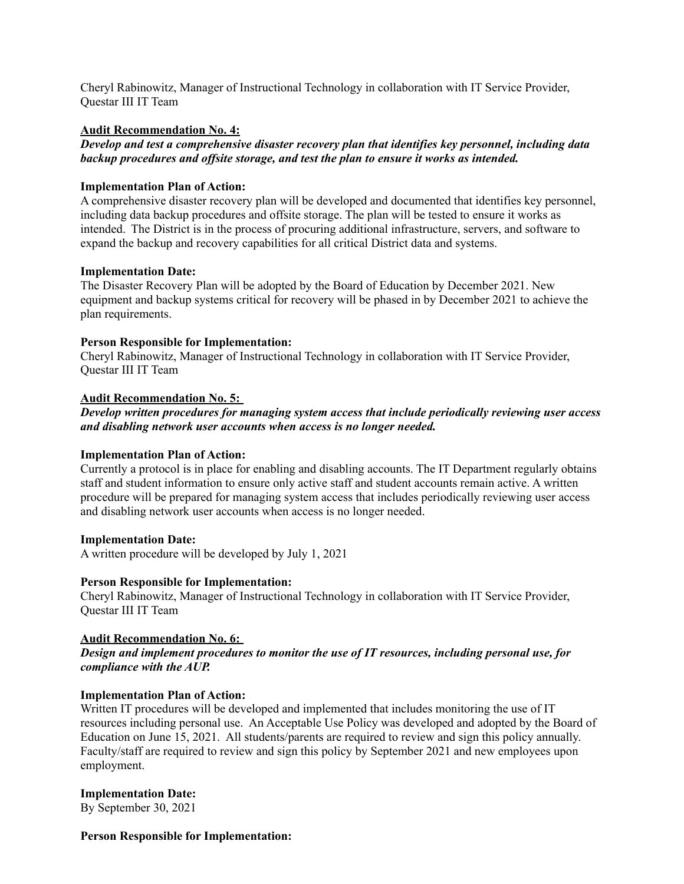Cheryl Rabinowitz, Manager of Instructional Technology in collaboration with IT Service Provider, Questar III IT Team

## **Audit Recommendation No. 4:**

 *Develop and test a comprehensive disaster recovery plan that identifies key personnel, including data   backup procedures and offsite storage, and test the plan to ensure it works as intended.*

#### **Implementation Plan of Action:**

 A comprehensive disaster recovery plan will be developed and documented that identifies key personnel, including data backup procedures and offsite storage. The plan will be tested to ensure it works as   intended. The District is in the process of procuring additional infrastructure, servers, and software to expand the backup and recovery capabilities for all critical District data and systems.

## **Implementation Date:**

 The Disaster Recovery Plan will be adopted by the Board of Education by December 2021. New equipment and backup systems critical for recovery will be phased in by December 2021 to achieve the plan requirements.

## **Person Responsible for Implementation:**

 Cheryl Rabinowitz, Manager of Instructional Technology in collaboration with IT Service Provider, Questar III IT Team

## **Audit Recommendation No. 5:**

 *Develop written procedures for managing system access that include periodically reviewing user access and disabling network user accounts when access is no longer needed.*

#### **Implementation Plan of Action:**

 Currently a protocol is in place for enabling and disabling accounts. The IT Department regularly obtains staff and student information to ensure only active staff and student accounts remain active. A written procedure will be prepared for managing system access that includes periodically reviewing user access and disabling network user accounts when access is no longer needed.

#### **Implementation Date:**

A written procedure will be developed by July 1, 2021

#### **Person Responsible for Implementation:**

 Cheryl Rabinowitz, Manager of Instructional Technology in collaboration with IT Service Provider, Questar III IT Team

# **Audit Recommendation No. 6:**

 *Design and implement procedures to monitor the use of IT resources, including personal use, for compliance with the AUP.*

#### **Implementation Plan of Action:**

 Written IT procedures will be developed and implemented that includes monitoring the use of IT resources including personal use. An Acceptable Use Policy was developed and adopted by the Board of Education on June 15, 2021. All students/parents are required to review and sign this policy annually. Faculty/staff are required to review and sign this policy by September 2021 and new employees upon employment.

 By September 30, 2021 **Implementation Date:**

#### **Person Responsible for Implementation:**